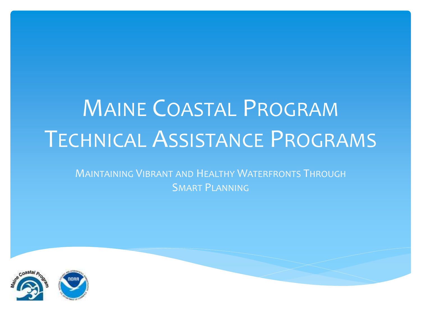# MAINE COASTAL PROGRAM TECHNICAL ASSISTANCE PROGRAMS

MAINTAINING VIBRANT AND HEALTHY WATERFRONTS THROUGH SMART PLANNING

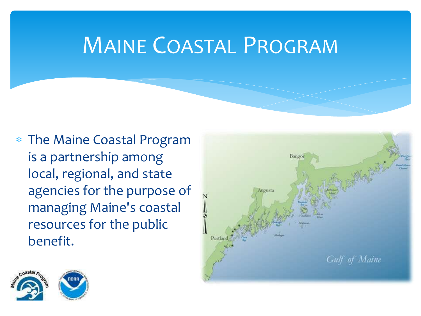### MAINE COASTAL PROGRAM

 The Maine Coastal Program is a partnership among local, regional, and state agencies for the purpose of managing Maine's coastal resources for the public benefit.



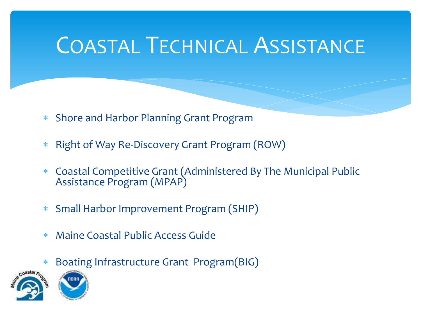### COASTAL TECHNICAL ASSISTANCE

- Shore and Harbor Planning Grant Program
- \* Right of Way Re-Discovery Grant Program (ROW)
- Coastal Competitive Grant (Administered By The Municipal Public Assistance Program (MPAP)
- Small Harbor Improvement Program (SHIP)
- Maine Coastal Public Access Guide
- Boating Infrastructure Grant Program(BIG)

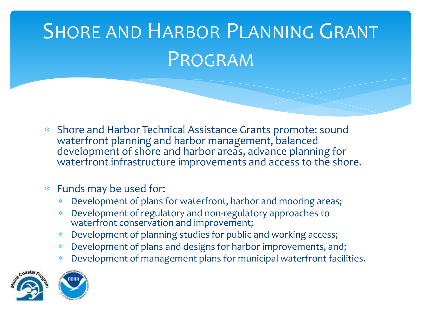# SHORE AND HARBOR PLANNING GRANT PROGRAM

 Shore and Harbor Technical Assistance Grants promote: sound waterfront planning and harbor management, balanced development of shore and harbor areas, advance planning for waterfront infrastructure improvements and access to the shore.

#### Funds may be used for:

- Development of plans for waterfront, harbor and mooring areas;
- Development of regulatory and non-regulatory approaches to waterfront conservation and improvement;
- Development of planning studies for public and working access;
- Development of plans and designs for harbor improvements, and;
- Development of management plans for municipal waterfront facilities.



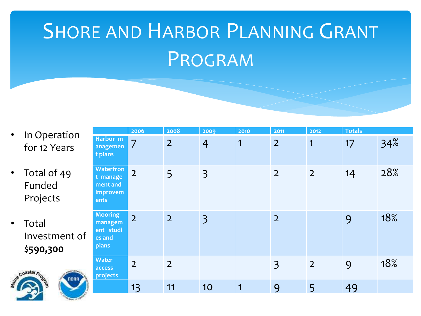# SHORE AND HARBOR PLANNING GRANT PROGRAM

- In Operation for 12 Years
- Total of 49 Funded Projects
- **Total** Investment of \$**590,300**



|  |                                                              | 2006           | 2008           | 2009           | 2010         | 2011           | 2012           | <b>Totals</b> |     |
|--|--------------------------------------------------------------|----------------|----------------|----------------|--------------|----------------|----------------|---------------|-----|
|  | Harbor m<br>anagemen<br>t plans                              | $\overline{7}$ | $\overline{2}$ | $\overline{4}$ | 1            | $\overline{2}$ | 1              | 17            | 34% |
|  | <b>Waterfron</b><br>t manage<br>ment and<br>improvem<br>ents | $\overline{2}$ | 5              | $\overline{3}$ |              | $\overline{2}$ | $\overline{2}$ | 14            | 28% |
|  | <b>Mooring</b><br>managem<br>ent studi<br>es and<br>plans    | $\overline{2}$ | $\overline{2}$ | $\overline{3}$ |              | $\overline{2}$ |                | 9             | 18% |
|  | <b>Water</b><br>access<br>projects                           | $\overline{2}$ | 2 <sup>1</sup> |                |              | $\overline{3}$ | 2 <sup>1</sup> | 9             | 18% |
|  |                                                              | 13             | 11             | 10             | $\mathbf{1}$ | 9              | 5              | 49            |     |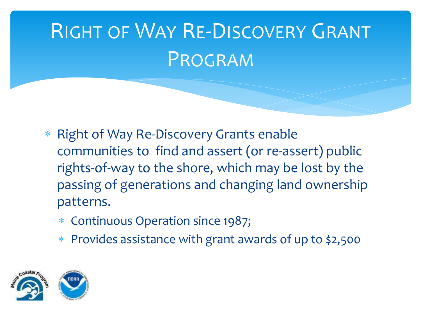# RIGHT OF WAY RE-DISCOVERY GRANT PROGRAM

- \* Right of Way Re-Discovery Grants enable communities to find and assert (or re-assert) public rights-of-way to the shore, which may be lost by the passing of generations and changing land ownership patterns.
	- Continuous Operation since 1987;
	- Provides assistance with grant awards of up to \$2,500

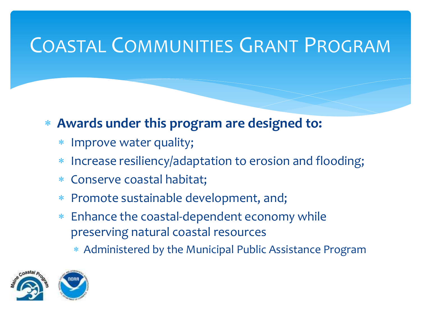#### COASTAL COMMUNITIES GRANT PROGRAM

- **Awards under this program are designed to:**
	- Improve water quality;
	- Increase resiliency/adaptation to erosion and flooding;
	- Conserve coastal habitat;
	- Promote sustainable development, and;
	- Enhance the coastal-dependent economy while preserving natural coastal resources
		- Administered by the Municipal Public Assistance Program



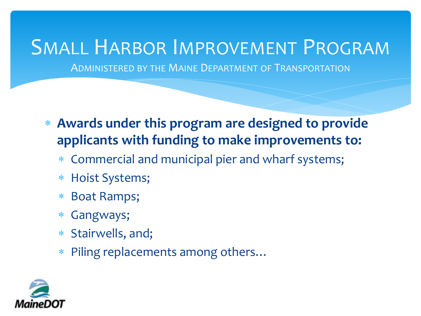#### SMALL HARBOR IMPROVEMENT PROGRAM

ADMINISTERED BY THE MAINE DEPARTMENT OF TRANSPORTATION

- **Awards under this program are designed to provide applicants with funding to make improvements to:**
	- Commercial and municipal pier and wharf systems;
	- Hoist Systems;
	- Boat Ramps;
	- Gangways;
	- Stairwells, and;
	- Piling replacements among others…

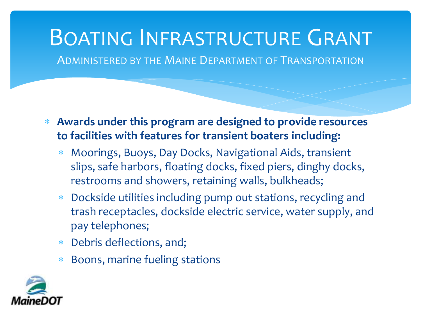# BOATING INFRASTRUCTURE GRANT

ADMINISTERED BY THE MAINE DEPARTMENT OF TRANSPORTATION

- **Awards under this program are designed to provide resources to facilities with features for transient boaters including:**
	- Moorings, Buoys, Day Docks, Navigational Aids, transient slips, safe harbors, floating docks, fixed piers, dinghy docks, restrooms and showers, retaining walls, bulkheads;
	- Dockside utilities including pump out stations, recycling and trash receptacles, dockside electric service, water supply, and pay telephones;
	- Debris deflections, and;
	- Boons, marine fueling stations

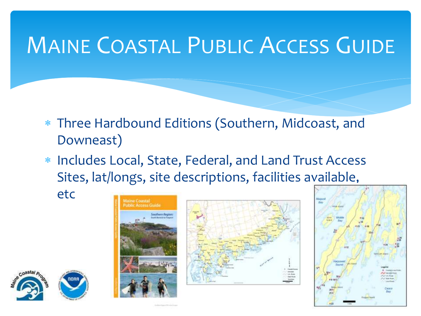## MAINE COASTAL PUBLIC ACCESS GUIDE

- Three Hardbound Editions (Southern, Midcoast, and Downeast)
- Includes Local, State, Federal, and Land Trust Access Sites, lat/longs, site descriptions, facilities available,